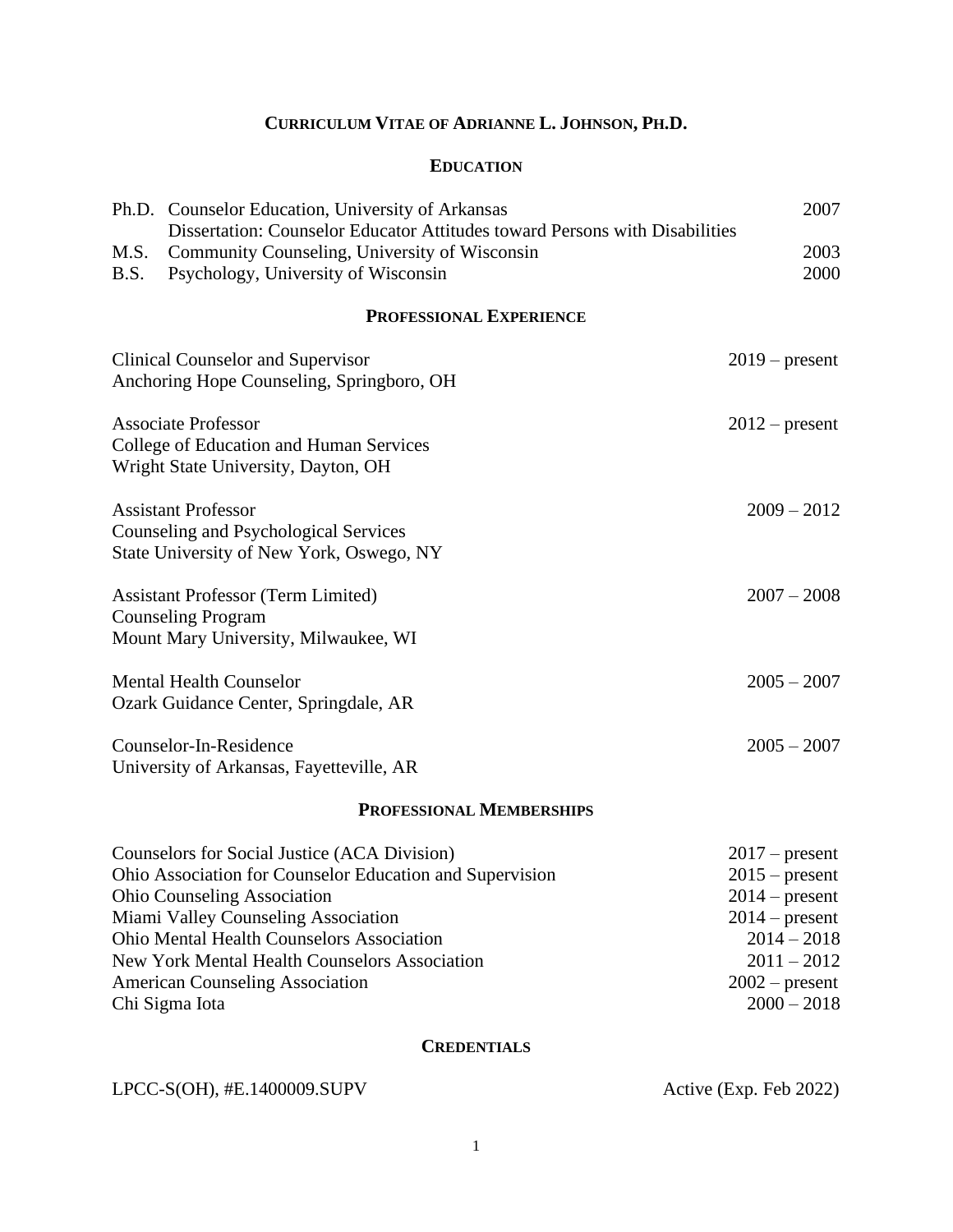# **CURRICULUM VITAE OF ADRIANNE L. JOHNSON, PH.D.**

# **EDUCATION**

|                                                                                                                 | Ph.D. Counselor Education, University of Arkansas<br>Dissertation: Counselor Educator Attitudes toward Persons with Disabilities | 2007             |
|-----------------------------------------------------------------------------------------------------------------|----------------------------------------------------------------------------------------------------------------------------------|------------------|
| M.S.<br>B.S.                                                                                                    | Community Counseling, University of Wisconsin<br>Psychology, University of Wisconsin                                             | 2003<br>2000     |
|                                                                                                                 | <b>PROFESSIONAL EXPERIENCE</b>                                                                                                   |                  |
|                                                                                                                 | Clinical Counselor and Supervisor<br>Anchoring Hope Counseling, Springboro, OH                                                   | $2019$ – present |
|                                                                                                                 | <b>Associate Professor</b><br>College of Education and Human Services<br>Wright State University, Dayton, OH                     | $2012$ – present |
| <b>Assistant Professor</b><br>Counseling and Psychological Services<br>State University of New York, Oswego, NY |                                                                                                                                  | $2009 - 2012$    |
|                                                                                                                 | <b>Assistant Professor (Term Limited)</b><br><b>Counseling Program</b><br>Mount Mary University, Milwaukee, WI                   | $2007 - 2008$    |
|                                                                                                                 | <b>Mental Health Counselor</b><br>Ozark Guidance Center, Springdale, AR                                                          | $2005 - 2007$    |
|                                                                                                                 | Counselor-In-Residence<br>University of Arkansas, Fayetteville, AR                                                               | $2005 - 2007$    |
|                                                                                                                 | <b>PROFESSIONAL MEMBERSHIPS</b>                                                                                                  |                  |
|                                                                                                                 | $Couneola$ for $Socielnetico (ACADiracation)$                                                                                    | $2017$ procent   |

| Counselors for Social Justice (ACA Division)             | $201/$ - present |
|----------------------------------------------------------|------------------|
| Ohio Association for Counselor Education and Supervision | $2015$ – present |
| <b>Ohio Counseling Association</b>                       | $2014$ – present |
| Miami Valley Counseling Association                      | $2014$ – present |
| <b>Ohio Mental Health Counselors Association</b>         | $2014 - 2018$    |
| New York Mental Health Counselors Association            | $2011 - 2012$    |
| <b>American Counseling Association</b>                   | $2002$ – present |
| Chi Sigma Iota                                           | $2000 - 2018$    |
|                                                          |                  |

# **CREDENTIALS**

LPCC-S(OH), #E.1400009.SUPV Active (Exp. Feb 2022)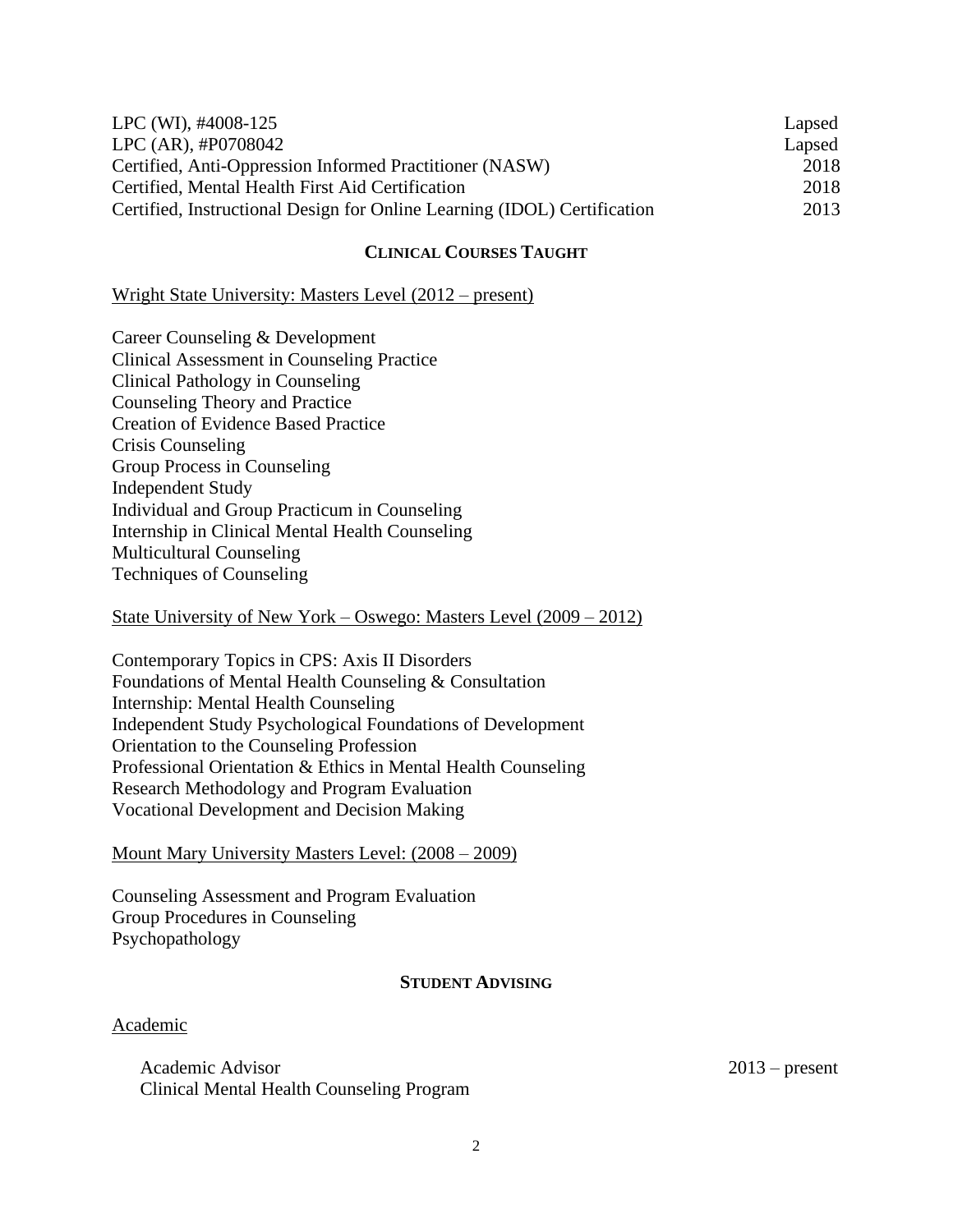| LPC (WI), #4008-125                                                      | Lapsed |
|--------------------------------------------------------------------------|--------|
| $LPC (AR)$ , #P0708042                                                   | Lapsed |
| Certified, Anti-Oppression Informed Practitioner (NASW)                  | 2018   |
| Certified, Mental Health First Aid Certification                         | 2018   |
| Certified, Instructional Design for Online Learning (IDOL) Certification | 2013   |

# **CLINICAL COURSES TAUGHT**

# Wright State University: Masters Level (2012 – present)

Career Counseling & Development Clinical Assessment in Counseling Practice Clinical Pathology in Counseling Counseling Theory and Practice Creation of Evidence Based Practice Crisis Counseling Group Process in Counseling Independent Study Individual and Group Practicum in Counseling Internship in Clinical Mental Health Counseling Multicultural Counseling Techniques of Counseling

# State University of New York – Oswego: Masters Level (2009 – 2012)

Contemporary Topics in CPS: Axis II Disorders Foundations of Mental Health Counseling & Consultation Internship: Mental Health Counseling Independent Study Psychological Foundations of Development Orientation to the Counseling Profession Professional Orientation & Ethics in Mental Health Counseling Research Methodology and Program Evaluation Vocational Development and Decision Making

# Mount Mary University Masters Level: (2008 – 2009)

Counseling Assessment and Program Evaluation Group Procedures in Counseling Psychopathology

# **STUDENT ADVISING**

# Academic

Academic Advisor 2013 – present Clinical Mental Health Counseling Program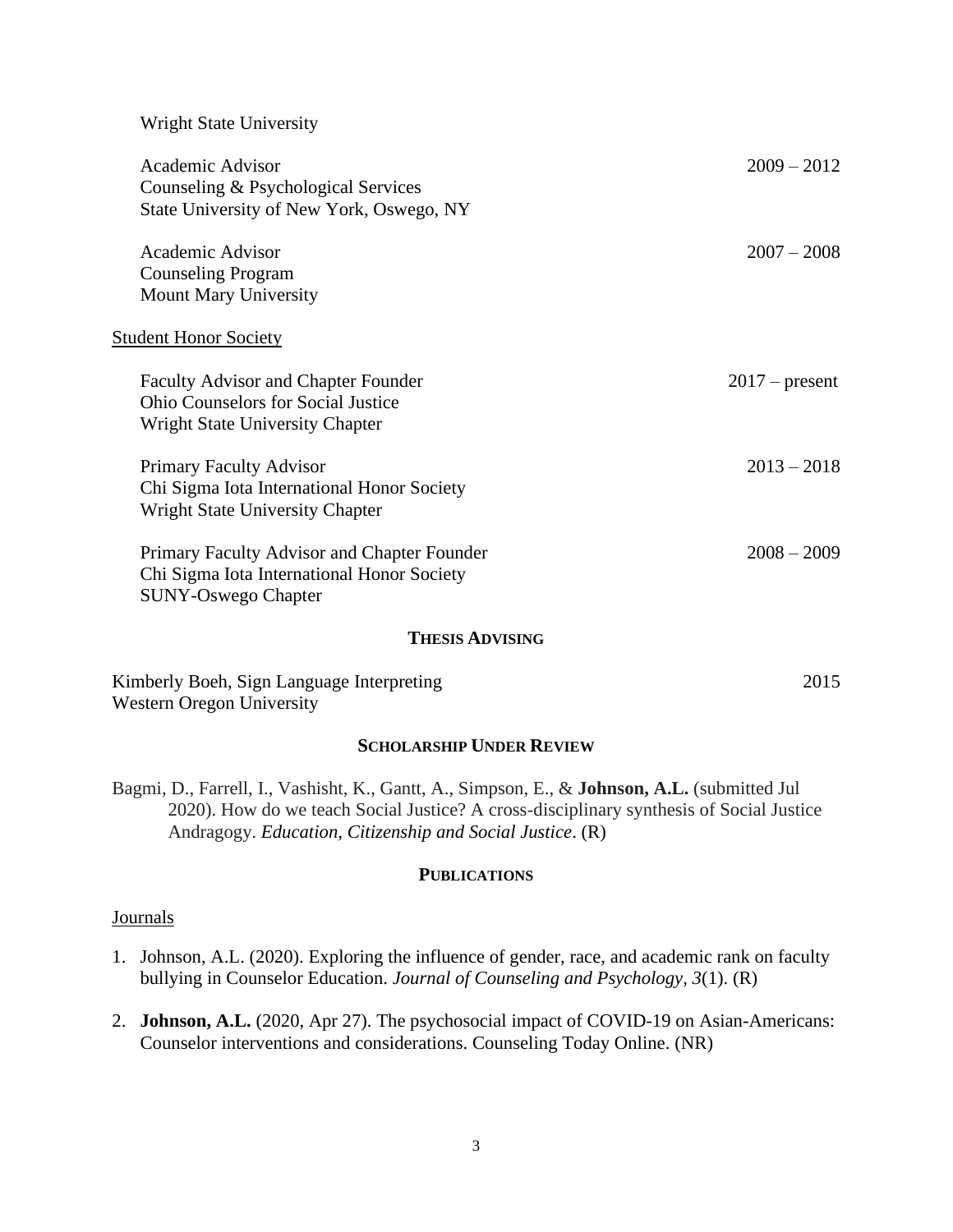## Wright State University

| <b>Academic Advisor</b>                     | $2009 - 2012$    |
|---------------------------------------------|------------------|
| Counseling & Psychological Services         |                  |
| State University of New York, Oswego, NY    |                  |
|                                             |                  |
| Academic Advisor                            | $2007 - 2008$    |
| <b>Counseling Program</b>                   |                  |
| <b>Mount Mary University</b>                |                  |
|                                             |                  |
| <b>Student Honor Society</b>                |                  |
| <b>Faculty Advisor and Chapter Founder</b>  | $2017$ – present |
| Ohio Counselors for Social Justice          |                  |
| Wright State University Chapter             |                  |
|                                             |                  |
| <b>Primary Faculty Advisor</b>              | $2013 - 2018$    |
| Chi Sigma Iota International Honor Society  |                  |
| <b>Wright State University Chapter</b>      |                  |
|                                             |                  |
| Primary Faculty Advisor and Chapter Founder | $2008 - 2009$    |
| Chi Sigma Iota International Honor Society  |                  |
| <b>SUNY-Oswego Chapter</b>                  |                  |
| <b>THESIS ADVISING</b>                      |                  |
|                                             |                  |

#### **THESIS ADVISING**

Kimberly Boeh, Sign Language Interpreting 2015 Western Oregon University

# **SCHOLARSHIP UNDER REVIEW**

Bagmi, D., Farrell, I., Vashisht, K., Gantt, A., Simpson, E., & **Johnson, A.L.** (submitted Jul 2020). How do we teach Social Justice? A cross-disciplinary synthesis of Social Justice Andragogy. *Education, Citizenship and Social Justice*. (R)

### **PUBLICATIONS**

# Journals

- 1. Johnson, A.L. (2020). Exploring the influence of gender, race, and academic rank on faculty bullying in Counselor Education. *Journal of Counseling and Psychology, 3*(1). (R)
- 2. **Johnson, A.L.** (2020, Apr 27). The psychosocial impact of COVID-19 on Asian-Americans: Counselor interventions and considerations. Counseling Today Online. (NR)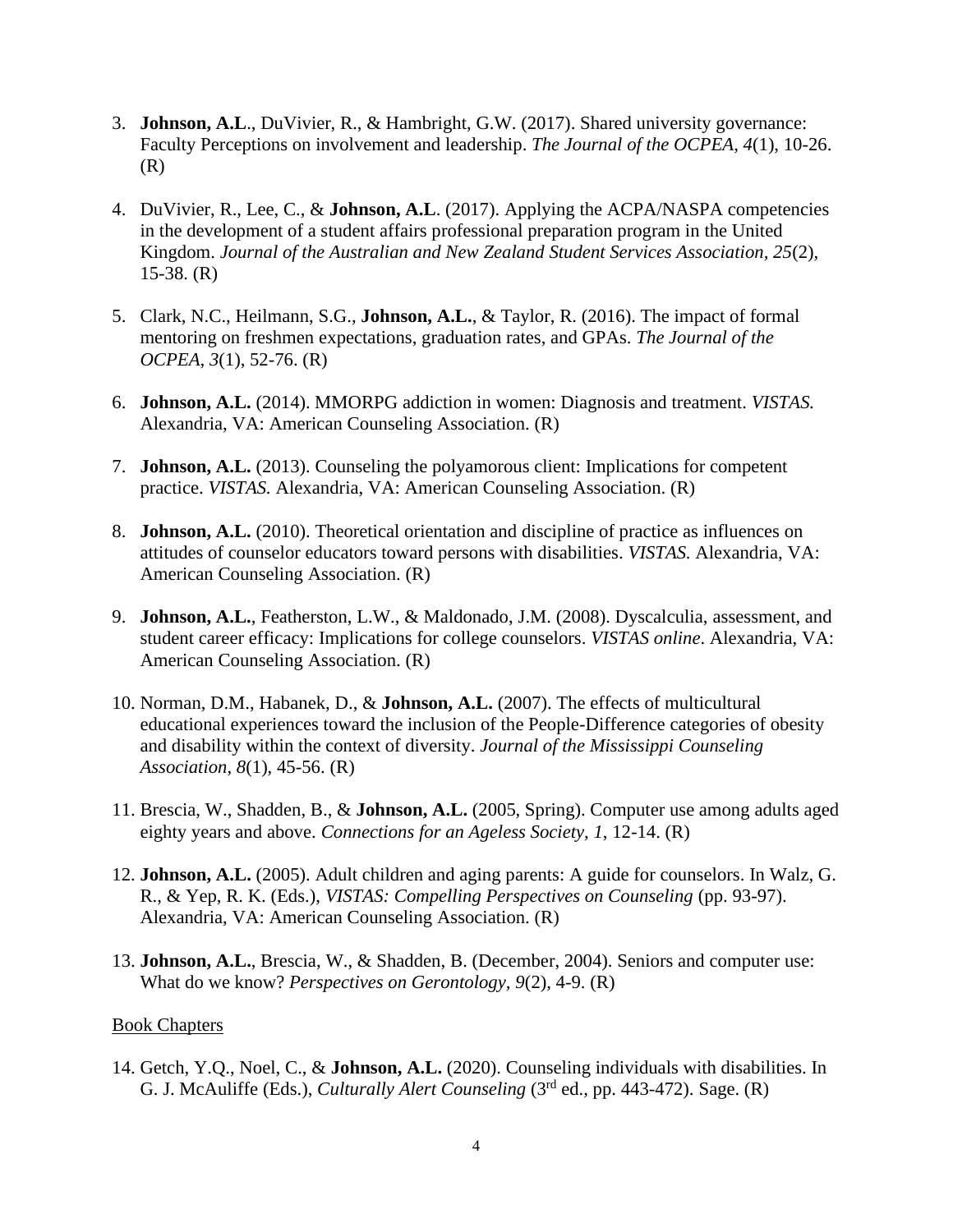- 3. **Johnson, A.L**., DuVivier, R., & Hambright, G.W. (2017). Shared university governance: Faculty Perceptions on involvement and leadership. *The Journal of the OCPEA, 4*(1), 10-26. (R)
- 4. DuVivier, R., Lee, C., & **Johnson, A.L**. (2017). Applying the ACPA/NASPA competencies in the development of a student affairs professional preparation program in the United Kingdom. *Journal of the Australian and New Zealand Student Services Association, 25*(2),  $15-38. (R)$
- 5. Clark, N.C., Heilmann, S.G., **Johnson, A.L.**, & Taylor, R. (2016). The impact of formal mentoring on freshmen expectations, graduation rates, and GPAs. *The Journal of the OCPEA, 3*(1), 52-76. (R)
- 6. **Johnson, A.L.** (2014). MMORPG addiction in women: Diagnosis and treatment. *VISTAS.*  Alexandria, VA: American Counseling Association. (R)
- 7. **Johnson, A.L.** (2013). Counseling the polyamorous client: Implications for competent practice. *VISTAS.* Alexandria, VA: American Counseling Association. (R)
- 8. **Johnson, A.L.** (2010). Theoretical orientation and discipline of practice as influences on attitudes of counselor educators toward persons with disabilities. *VISTAS.* Alexandria, VA: American Counseling Association. (R)
- 9. **Johnson, A.L.**, Featherston, L.W., & Maldonado, J.M. (2008). Dyscalculia, assessment, and student career efficacy: Implications for college counselors. *VISTAS online*. Alexandria, VA: American Counseling Association. (R)
- 10. Norman, D.M., Habanek, D., & **Johnson, A.L.** (2007). The effects of multicultural educational experiences toward the inclusion of the People-Difference categories of obesity and disability within the context of diversity. *Journal of the Mississippi Counseling Association, 8*(1), 45-56. (R)
- 11. Brescia, W., Shadden, B., & **Johnson, A.L.** (2005, Spring). Computer use among adults aged eighty years and above. *Connections for an Ageless Society, 1*, 12-14. (R)
- 12. **Johnson, A.L.** (2005). Adult children and aging parents: A guide for counselors. In Walz, G. R., & Yep, R. K. (Eds.), *VISTAS: Compelling Perspectives on Counseling* (pp. 93-97). Alexandria, VA: American Counseling Association. (R)
- 13. **Johnson, A.L.**, Brescia, W., & Shadden, B. (December, 2004). Seniors and computer use: What do we know? *Perspectives on Gerontology, 9*(2), 4-9. (R)

# Book Chapters

14. Getch, Y.Q., Noel, C., & **Johnson, A.L.** (2020). Counseling individuals with disabilities. In G. J. McAuliffe (Eds.), *Culturally Alert Counseling* (3<sup>rd</sup> ed., pp. 443-472). Sage. (R)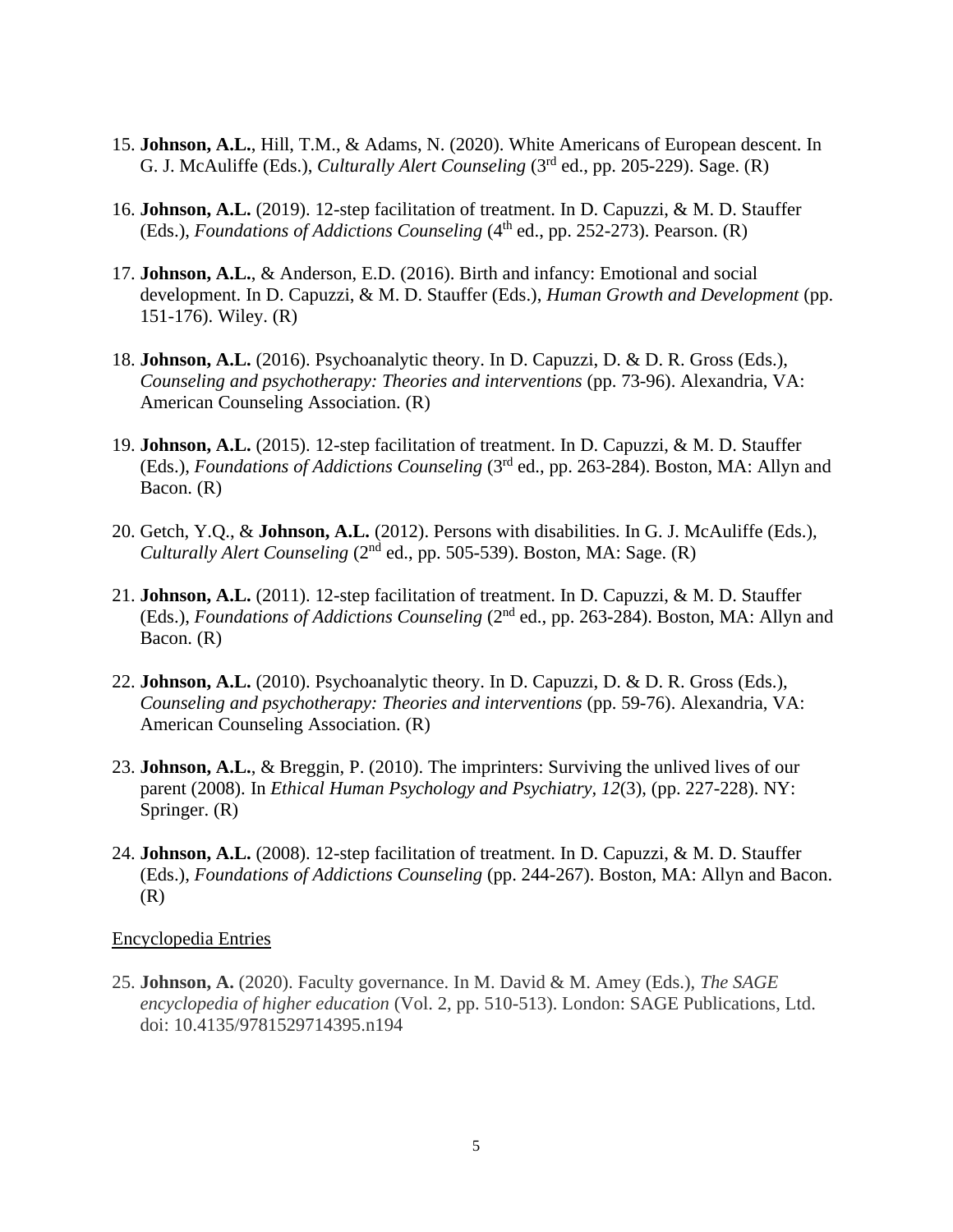- 15. **Johnson, A.L.**, Hill, T.M., & Adams, N. (2020). White Americans of European descent. In G. J. McAuliffe (Eds.), *Culturally Alert Counseling* (3<sup>rd</sup> ed., pp. 205-229). Sage. (R)
- 16. **Johnson, A.L.** (2019). 12-step facilitation of treatment. In D. Capuzzi, & M. D. Stauffer (Eds.), *Foundations of Addictions Counseling* (4<sup>th</sup> ed., pp. 252-273). Pearson. (R)
- 17. **Johnson, A.L.**, & Anderson, E.D. (2016). Birth and infancy: Emotional and social development. In D. Capuzzi, & M. D. Stauffer (Eds.), *Human Growth and Development* (pp. 151-176). Wiley. (R)
- 18. **Johnson, A.L.** (2016). Psychoanalytic theory. In D. Capuzzi, D. & D. R. Gross (Eds.), *Counseling and psychotherapy: Theories and interventions (pp. 73-96). Alexandria, VA:* American Counseling Association. (R)
- 19. **Johnson, A.L.** (2015). 12-step facilitation of treatment. In D. Capuzzi, & M. D. Stauffer (Eds.), *Foundations of Addictions Counseling* (3rd ed., pp. 263-284). Boston, MA: Allyn and Bacon. (R)
- 20. Getch, Y.Q., & **Johnson, A.L.** (2012). Persons with disabilities. In G. J. McAuliffe (Eds.), Culturally Alert Counseling (2<sup>nd</sup> ed., pp. 505-539). Boston, MA: Sage. (R)
- 21. **Johnson, A.L.** (2011). 12-step facilitation of treatment. In D. Capuzzi, & M. D. Stauffer (Eds.), *Foundations of Addictions Counseling* (2<sup>nd</sup> ed., pp. 263-284). Boston, MA: Allyn and Bacon. (R)
- 22. **Johnson, A.L.** (2010). Psychoanalytic theory. In D. Capuzzi, D. & D. R. Gross (Eds.), *Counseling and psychotherapy: Theories and interventions (pp. 59-76). Alexandria, VA:* American Counseling Association. (R)
- 23. **Johnson, A.L.**, & Breggin, P. (2010). The imprinters: Surviving the unlived lives of our parent (2008). In *Ethical Human Psychology and Psychiatry, 12*(3), (pp. 227-228). NY: Springer. (R)
- 24. **Johnson, A.L.** (2008). 12-step facilitation of treatment. In D. Capuzzi, & M. D. Stauffer (Eds.), *Foundations of Addictions Counseling* (pp. 244-267). Boston, MA: Allyn and Bacon. (R)

# Encyclopedia Entries

25. **Johnson, A.** (2020). Faculty governance. In M. David & M. Amey (Eds.), *The SAGE encyclopedia of higher education* (Vol. 2, pp. 510-513). London: SAGE Publications, Ltd. doi: 10.4135/9781529714395.n194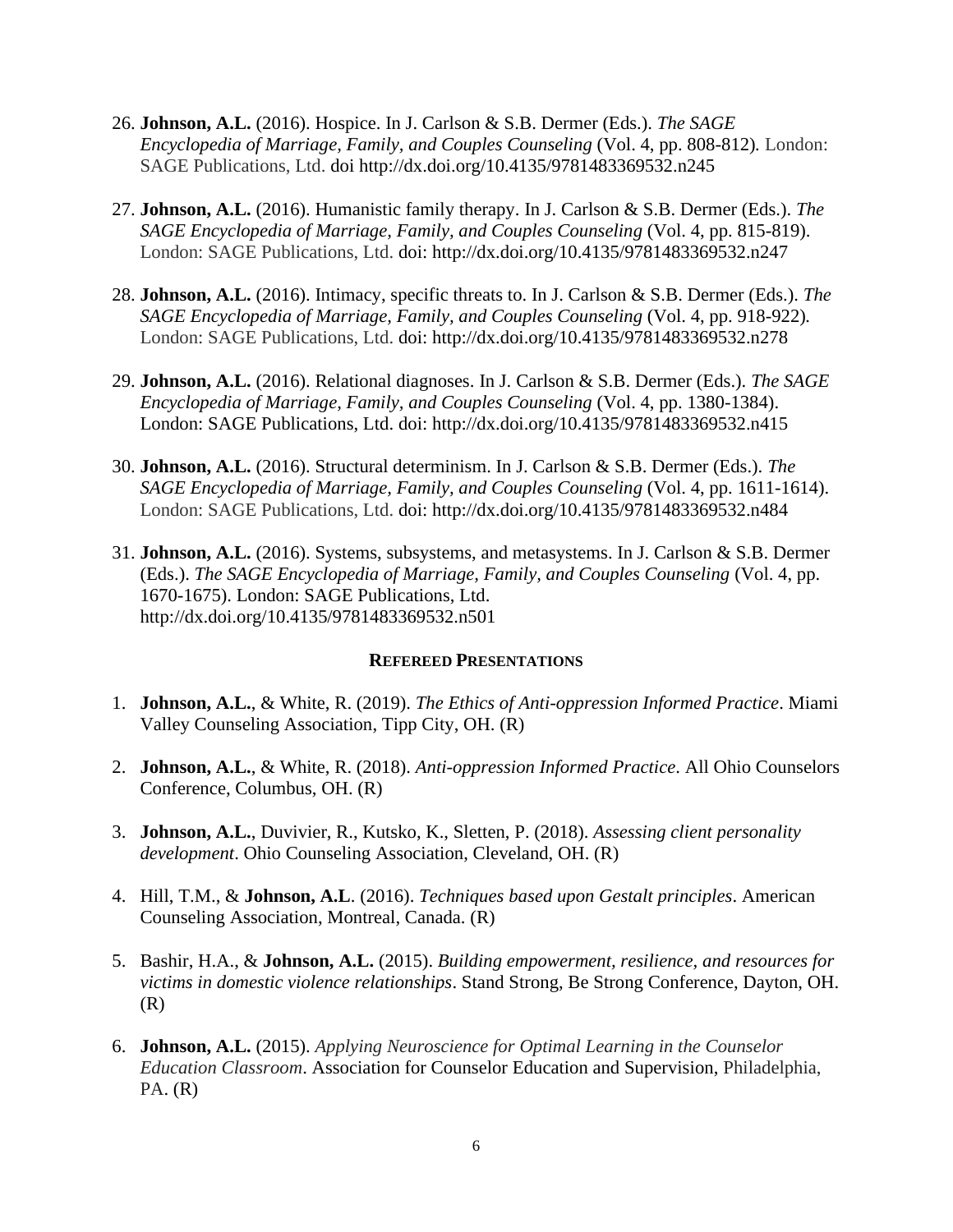- 26. **Johnson, A.L.** (2016). Hospice. In J. Carlson & S.B. Dermer (Eds.). *The SAGE Encyclopedia of Marriage, Family, and Couples Counseling (Vol. 4, pp. 808-812). London:* SAGE Publications, Ltd. doi http://dx.doi.org/10.4135/9781483369532.n245
- 27. **Johnson, A.L.** (2016). Humanistic family therapy. In J. Carlson & S.B. Dermer (Eds.). *The SAGE Encyclopedia of Marriage, Family, and Couples Counseling* (Vol. 4, pp. 815-819). London: SAGE Publications, Ltd. doi: http://dx.doi.org/10.4135/9781483369532.n247
- 28. **Johnson, A.L.** (2016). Intimacy, specific threats to. In J. Carlson & S.B. Dermer (Eds.). *The SAGE Encyclopedia of Marriage, Family, and Couples Counseling* (Vol. 4, pp. 918-922). London: SAGE Publications, Ltd. doi: http://dx.doi.org/10.4135/9781483369532.n278
- 29. **Johnson, A.L.** (2016). Relational diagnoses. In J. Carlson & S.B. Dermer (Eds.). *The SAGE Encyclopedia of Marriage, Family, and Couples Counseling* (Vol. 4, pp. 1380-1384). London: SAGE Publications, Ltd. doi: http://dx.doi.org/10.4135/9781483369532.n415
- 30. **Johnson, A.L.** (2016). Structural determinism. In J. Carlson & S.B. Dermer (Eds.). *The SAGE Encyclopedia of Marriage, Family, and Couples Counseling* (Vol. 4, pp. 1611-1614). London: SAGE Publications, Ltd. doi: http://dx.doi.org/10.4135/9781483369532.n484
- 31. **Johnson, A.L.** (2016). Systems, subsystems, and metasystems. In J. Carlson & S.B. Dermer (Eds.). *The SAGE Encyclopedia of Marriage, Family, and Couples Counseling* (Vol. 4, pp. 1670-1675). London: SAGE Publications, Ltd. http://dx.doi.org/10.4135/9781483369532.n501

# **REFEREED PRESENTATIONS**

- 1. **Johnson, A.L.**, & White, R. (2019). *The Ethics of Anti-oppression Informed Practice*. Miami Valley Counseling Association, Tipp City, OH. (R)
- 2. **Johnson, A.L.**, & White, R. (2018). *Anti-oppression Informed Practice*. All Ohio Counselors Conference, Columbus, OH. (R)
- 3. **Johnson, A.L.**, Duvivier, R., Kutsko, K., Sletten, P. (2018). *Assessing client personality development*. Ohio Counseling Association, Cleveland, OH. (R)
- 4. Hill, T.M., & **Johnson, A.L**. (2016). *Techniques based upon Gestalt principles*. American Counseling Association, Montreal, Canada. (R)
- 5. Bashir, H.A., & **Johnson, A.L.** (2015). *Building empowerment, resilience, and resources for victims in domestic violence relationships*. Stand Strong, Be Strong Conference, Dayton, OH.  $(R)$
- 6. **Johnson, A.L.** (2015). *Applying Neuroscience for Optimal Learning in the Counselor Education Classroom*. Association for Counselor Education and Supervision, Philadelphia, PA. (R)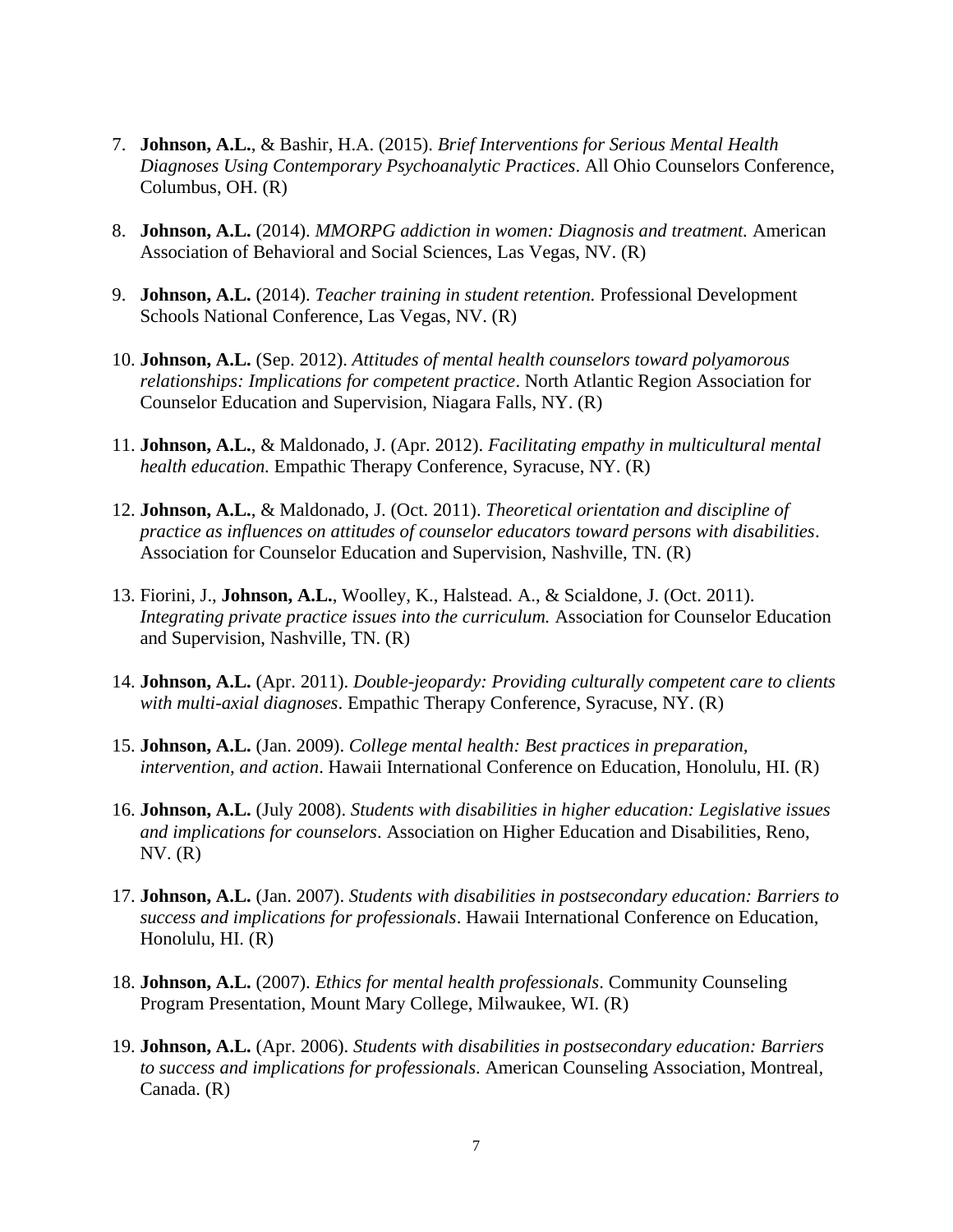- 7. **Johnson, A.L.**, & Bashir, H.A. (2015). *Brief Interventions for Serious Mental Health Diagnoses Using Contemporary Psychoanalytic Practices*. All Ohio Counselors Conference, Columbus, OH. (R)
- 8. **Johnson, A.L.** (2014). *MMORPG addiction in women: Diagnosis and treatment.* American Association of Behavioral and Social Sciences, Las Vegas, NV. (R)
- 9. **Johnson, A.L.** (2014). *Teacher training in student retention.* Professional Development Schools National Conference, Las Vegas, NV. (R)
- 10. **Johnson, A.L.** (Sep. 2012). *Attitudes of mental health counselors toward polyamorous relationships: Implications for competent practice*. North Atlantic Region Association for Counselor Education and Supervision, Niagara Falls, NY. (R)
- 11. **Johnson, A.L.**, & Maldonado, J. (Apr. 2012). *Facilitating empathy in multicultural mental health education.* Empathic Therapy Conference, Syracuse, NY. (R)
- 12. **Johnson, A.L.**, & Maldonado, J. (Oct. 2011). *Theoretical orientation and discipline of practice as influences on attitudes of counselor educators toward persons with disabilities*. Association for Counselor Education and Supervision, Nashville, TN. (R)
- 13. Fiorini, J., **Johnson, A.L.**, Woolley, K., Halstead. A., & Scialdone, J. (Oct. 2011). *Integrating private practice issues into the curriculum.* Association for Counselor Education and Supervision, Nashville, TN. (R)
- 14. **Johnson, A.L.** (Apr. 2011). *Double-jeopardy: Providing culturally competent care to clients with multi-axial diagnoses*. Empathic Therapy Conference, Syracuse, NY. (R)
- 15. **Johnson, A.L.** (Jan. 2009). *College mental health: Best practices in preparation, intervention, and action*. Hawaii International Conference on Education, Honolulu, HI. (R)
- 16. **Johnson, A.L.** (July 2008). *Students with disabilities in higher education: Legislative issues and implications for counselors*. Association on Higher Education and Disabilities, Reno,  $NV. (R)$
- 17. **Johnson, A.L.** (Jan. 2007). *Students with disabilities in postsecondary education: Barriers to success and implications for professionals*. Hawaii International Conference on Education, Honolulu, HI. (R)
- 18. **Johnson, A.L.** (2007). *Ethics for mental health professionals*. Community Counseling Program Presentation, Mount Mary College, Milwaukee, WI. (R)
- 19. **Johnson, A.L.** (Apr. 2006). *Students with disabilities in postsecondary education: Barriers to success and implications for professionals*. American Counseling Association, Montreal, Canada. (R)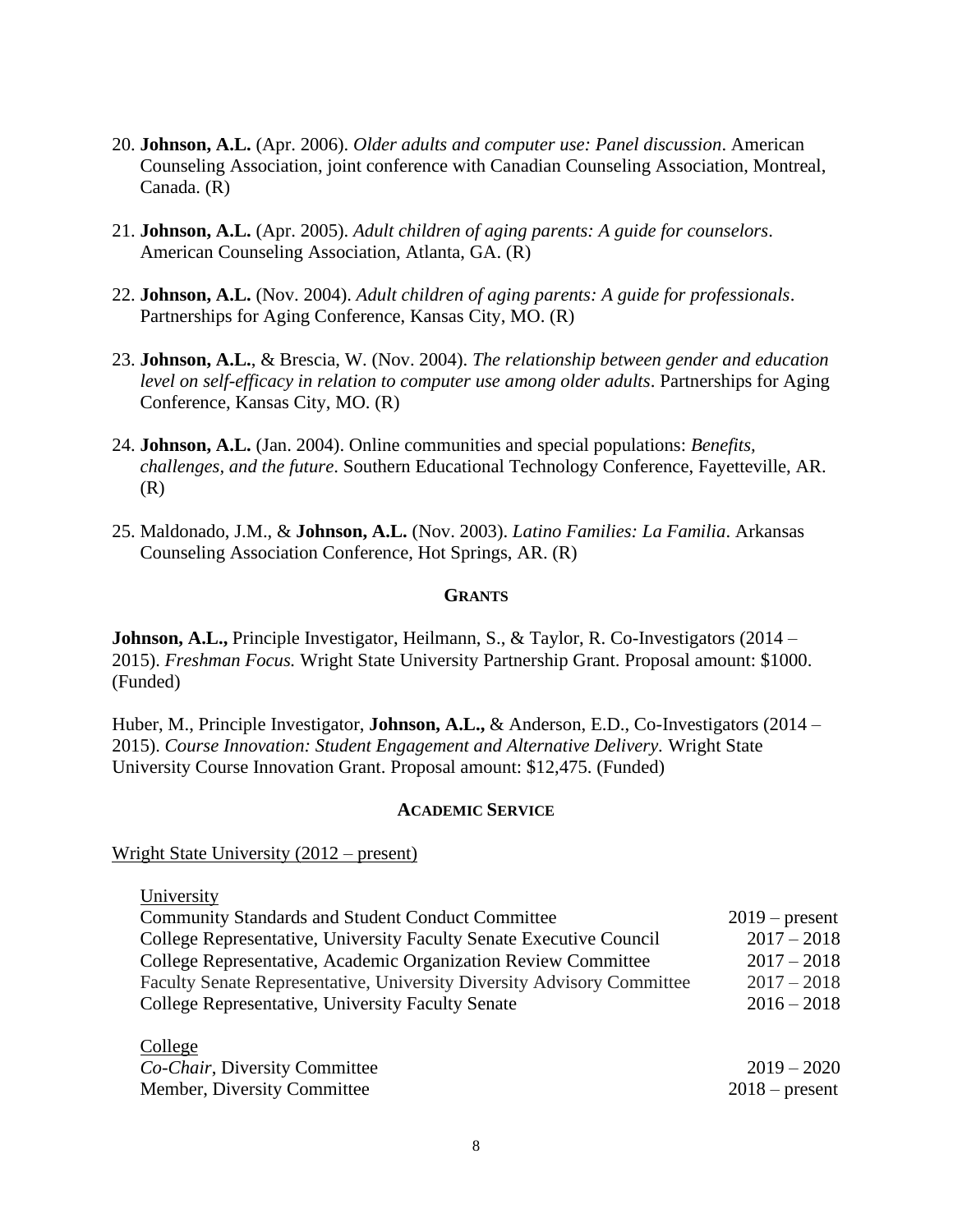- 20. **Johnson, A.L.** (Apr. 2006). *Older adults and computer use: Panel discussion*. American Counseling Association, joint conference with Canadian Counseling Association, Montreal, Canada. (R)
- 21. **Johnson, A.L.** (Apr. 2005). *Adult children of aging parents: A guide for counselors*. American Counseling Association, Atlanta, GA. (R)
- 22. **Johnson, A.L.** (Nov. 2004). *Adult children of aging parents: A guide for professionals*. Partnerships for Aging Conference, Kansas City, MO. (R)
- 23. **Johnson, A.L.**, & Brescia, W. (Nov. 2004). *The relationship between gender and education level on self-efficacy in relation to computer use among older adults*. Partnerships for Aging Conference, Kansas City, MO. (R)
- 24. **Johnson, A.L.** (Jan. 2004). Online communities and special populations: *Benefits, challenges, and the future*. Southern Educational Technology Conference, Fayetteville, AR. (R)
- 25. Maldonado, J.M., & **Johnson, A.L.** (Nov. 2003). *Latino Families: La Familia*. Arkansas Counseling Association Conference, Hot Springs, AR. (R)

# **GRANTS**

**Johnson, A.L.,** Principle Investigator, Heilmann, S., & Taylor, R. Co-Investigators (2014 – 2015). *Freshman Focus.* Wright State University Partnership Grant. Proposal amount: \$1000. (Funded)

Huber, M., Principle Investigator, **Johnson, A.L.,** & Anderson, E.D., Co-Investigators (2014 – 2015). *Course Innovation: Student Engagement and Alternative Delivery.* Wright State University Course Innovation Grant. Proposal amount: \$12,475. (Funded)

# **ACADEMIC SERVICE**

Wright State University (2012 – present)

University Community Standards and Student Conduct Committee 2019 – present College Representative, University Faculty Senate Executive Council 2017 – 2018 College Representative, Academic Organization Review Committee 2017 – 2018 Faculty Senate Representative, University Diversity Advisory Committee 2017 – 2018 College Representative, University Faculty Senate 2016 – 2018

| College                       |                  |
|-------------------------------|------------------|
| Co-Chair, Diversity Committee | $2019 - 2020$    |
| Member, Diversity Committee   | $2018$ – present |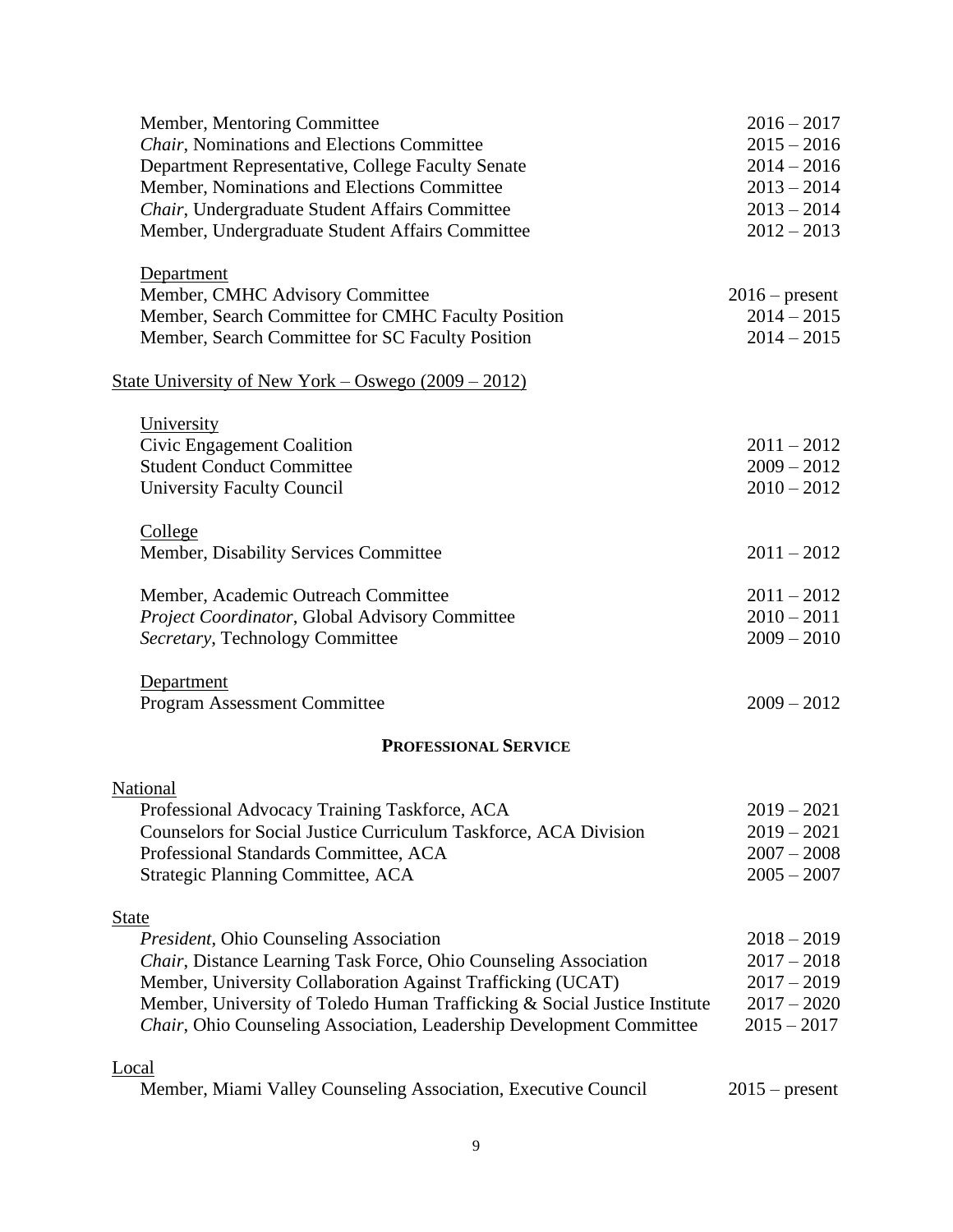| Member, Mentoring Committee                                               | $2016 - 2017$    |
|---------------------------------------------------------------------------|------------------|
| Chair, Nominations and Elections Committee                                | $2015 - 2016$    |
| Department Representative, College Faculty Senate                         | $2014 - 2016$    |
| Member, Nominations and Elections Committee                               | $2013 - 2014$    |
| Chair, Undergraduate Student Affairs Committee                            | $2013 - 2014$    |
| Member, Undergraduate Student Affairs Committee                           | $2012 - 2013$    |
|                                                                           |                  |
| Department                                                                |                  |
| Member, CMHC Advisory Committee                                           | $2016$ – present |
| Member, Search Committee for CMHC Faculty Position                        | $2014 - 2015$    |
| Member, Search Committee for SC Faculty Position                          | $2014 - 2015$    |
| State University of New York – Oswego $(2009 – 2012)$                     |                  |
|                                                                           |                  |
| University                                                                |                  |
| Civic Engagement Coalition                                                | $2011 - 2012$    |
| <b>Student Conduct Committee</b>                                          | $2009 - 2012$    |
| <b>University Faculty Council</b>                                         | $2010 - 2012$    |
| College                                                                   |                  |
| Member, Disability Services Committee                                     | $2011 - 2012$    |
| Member, Academic Outreach Committee                                       | $2011 - 2012$    |
| Project Coordinator, Global Advisory Committee                            | $2010 - 2011$    |
| Secretary, Technology Committee                                           | $2009 - 2010$    |
|                                                                           |                  |
| Department                                                                |                  |
| <b>Program Assessment Committee</b>                                       | $2009 - 2012$    |
| <b>PROFESSIONAL SERVICE</b>                                               |                  |
| National                                                                  |                  |
| Professional Advocacy Training Taskforce, ACA                             | $2019 - 2021$    |
| Counselors for Social Justice Curriculum Taskforce, ACA Division          | $2019 - 2021$    |
| Professional Standards Committee, ACA                                     | $2007 - 2008$    |
| <b>Strategic Planning Committee, ACA</b>                                  | $2005 - 2007$    |
|                                                                           |                  |
| <b>State</b>                                                              |                  |
| President, Ohio Counseling Association                                    | $2018 - 2019$    |
| Chair, Distance Learning Task Force, Ohio Counseling Association          | $2017 - 2018$    |
| Member, University Collaboration Against Trafficking (UCAT)               | $2017 - 2019$    |
| Member, University of Toledo Human Trafficking & Social Justice Institute | $2017 - 2020$    |
| Chair, Ohio Counseling Association, Leadership Development Committee      | $2015 - 2017$    |
| <b>Local</b>                                                              |                  |
| Member, Miami Valley Counseling Association, Executive Council            | $2015$ – present |
|                                                                           |                  |